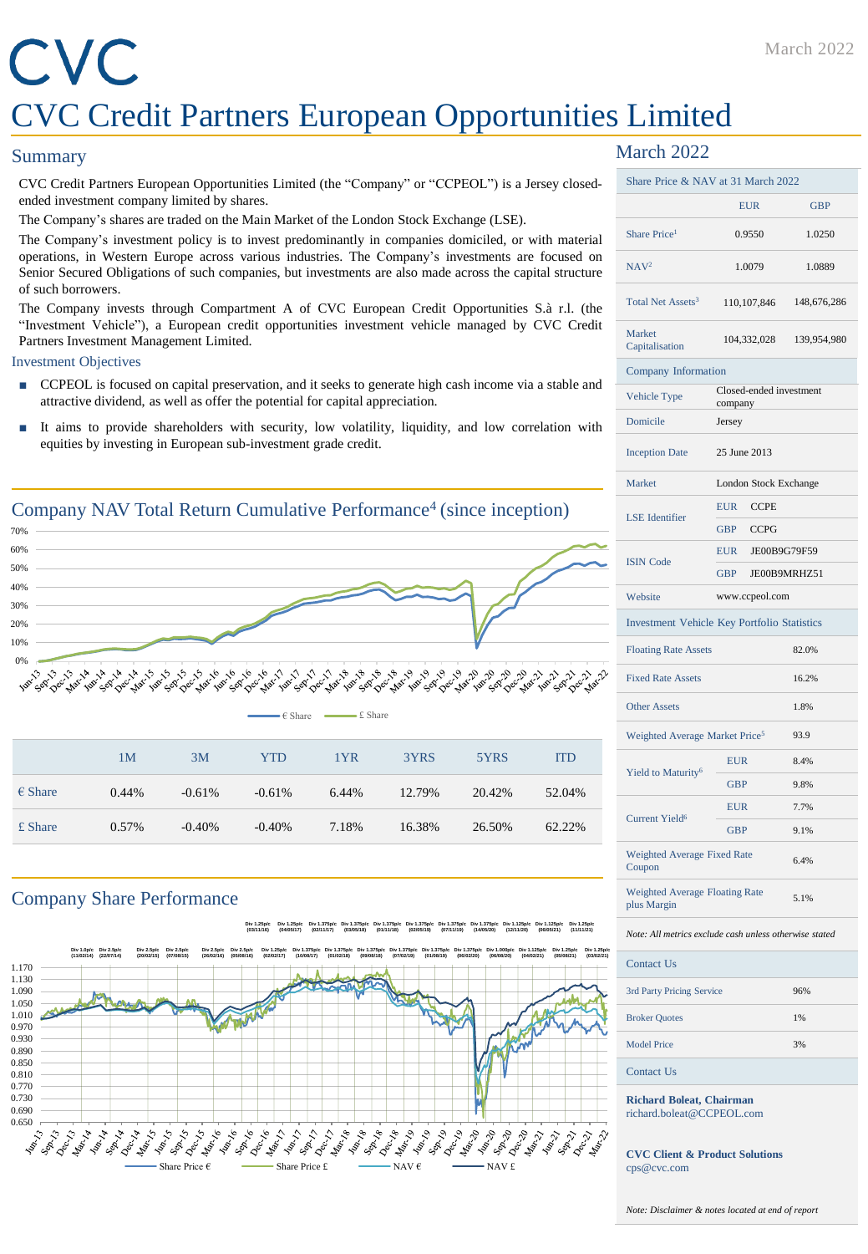# CVC CVC Credit Partners European Opportunities Limited

#### **Summary**

CVC Credit Partners European Opportunities Limited (the "Company" or "CCPEOL") is a Jersey closedended investment company limited by shares.

The Company's shares are traded on the Main Market of the London Stock Exchange (LSE).

The Company's investment policy is to invest predominantly in companies domiciled, or with material operations, in Western Europe across various industries. The Company's investments are focused on Senior Secured Obligations of such companies, but investments are also made across the capital structure of such borrowers.

The Company invests through Compartment A of CVC European Credit Opportunities S.à r.l. (the "Investment Vehicle"), a European credit opportunities investment vehicle managed by CVC Credit Partners Investment Management Limited.

#### Investment Objectives

- CCPEOL is focused on capital preservation, and it seeks to generate high cash income via a stable and attractive dividend, as well as offer the potential for capital appreciation.
- It aims to provide shareholders with security, low volatility, liquidity, and low correlation with equities by investing in European sub-investment grade credit.



£ Share 0.57% -0.40% -0.40% 7.18% 16.38% 26.50% 62.22%

### Company Share Performance





## March 2022

| Share Price & NAV at 31 March 2022                   |                                    |              |  |
|------------------------------------------------------|------------------------------------|--------------|--|
|                                                      | <b>EUR</b>                         | <b>GBP</b>   |  |
| Share Price <sup>1</sup>                             | 0.9550                             | 1.0250       |  |
| NAV <sup>2</sup>                                     | 1.0079                             | 1.0889       |  |
| Total Net Assets <sup>3</sup>                        | 110,107,846                        | 148,676,286  |  |
| Market<br>Capitalisation                             | 104,332,028                        | 139,954,980  |  |
| Company Information                                  |                                    |              |  |
| Vehicle Type                                         | Closed-ended investment<br>company |              |  |
| Domicile                                             | Jersey                             |              |  |
| <b>Inception Date</b>                                | 25 June 2013                       |              |  |
| Market                                               | London Stock Exchange              |              |  |
| <b>LSE</b> Identifier                                | <b>EUR</b><br><b>CCPE</b>          |              |  |
|                                                      | <b>GBP</b><br><b>CCPG</b>          |              |  |
| <b>ISIN Code</b>                                     | <b>EUR</b>                         | JE00B9G79F59 |  |
|                                                      | JE00B9MRHZ51<br><b>GBP</b>         |              |  |
| Website                                              | www.ccpeol.com                     |              |  |
| <b>Investment Vehicle Key Portfolio Statistics</b>   |                                    |              |  |
| <b>Floating Rate Assets</b>                          |                                    | 82.0%        |  |
| <b>Fixed Rate Assets</b>                             |                                    | 16.2%        |  |
| <b>Other Assets</b>                                  |                                    | 1.8%         |  |
| Weighted Average Market Price <sup>5</sup>           |                                    | 93.9         |  |
| Yield to Maturity <sup>6</sup>                       | <b>EUR</b>                         | 8.4%         |  |
|                                                      | <b>GBP</b>                         | 9.8%         |  |
| <b>Current Yield<sup>6</sup></b>                     | <b>EUR</b>                         | 7.7%         |  |
|                                                      | <b>GBP</b>                         | 9.1%         |  |
| Weighted Average Fixed Rate<br>Coupon                |                                    | 6.4%         |  |
| <b>Weighted Average Floating Rate</b><br>plus Margin |                                    | 5.1%         |  |

*Note: All metrics exclude cash unless otherwise stated*

| Contact Us                |     |
|---------------------------|-----|
| 3rd Party Pricing Service | 96% |
| <b>Broker Quotes</b>      | 1%  |
| <b>Model Price</b>        | 3%  |
| Contact Us                |     |

**Richard Boleat, Chairman** richard.boleat@CCPEOL.com

**CVC Client & Product Solutions** cps@cvc.com

*Note: Disclaimer & notes located at end of report*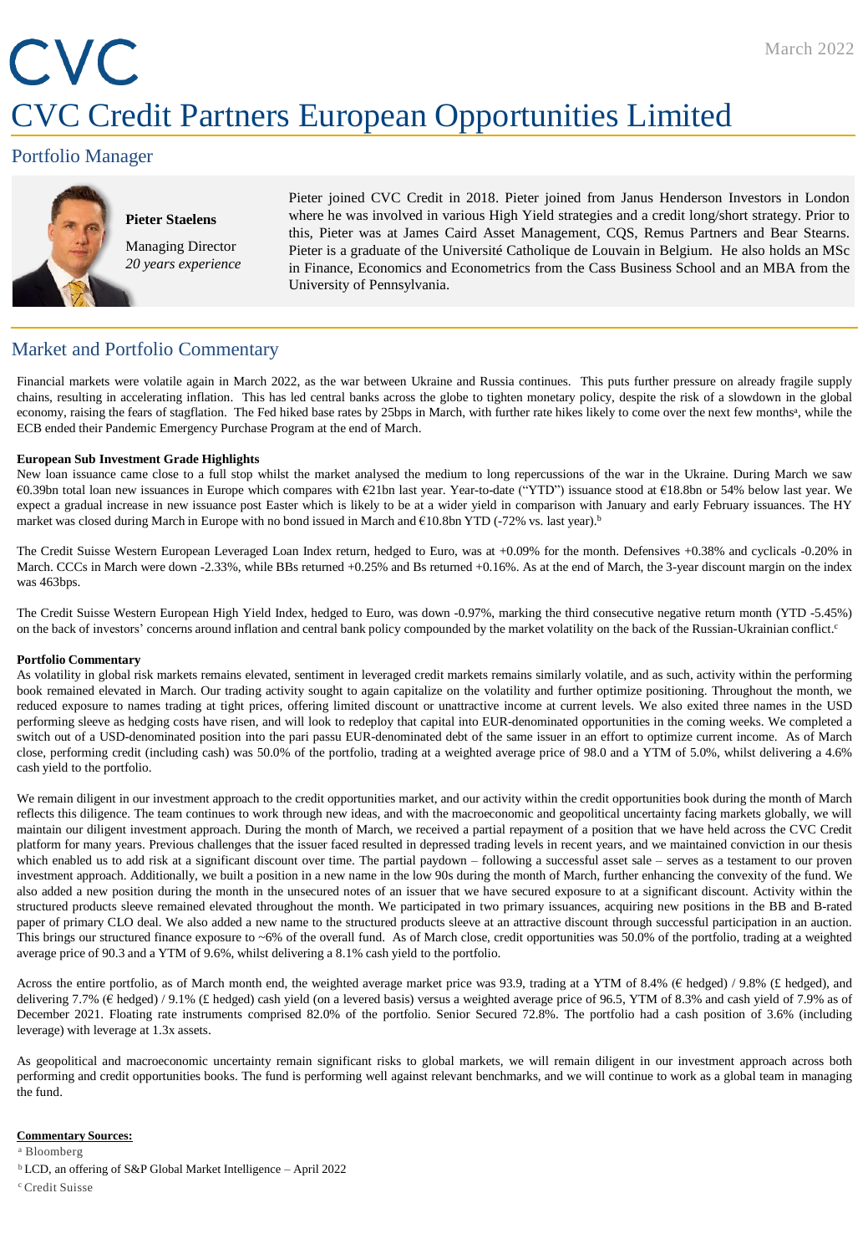# CVC CVC Credit Partners European Opportunities Limited

## Portfolio Manager



# **Pieter Staelens** Managing Director

*20 years experience*

Pieter joined CVC Credit in 2018. Pieter joined from Janus Henderson Investors in London where he was involved in various High Yield strategies and a credit long/short strategy. Prior to this, Pieter was at James Caird Asset Management, CQS, Remus Partners and Bear Stearns. Pieter is a graduate of the Université Catholique de Louvain in Belgium. He also holds an MSc in Finance, Economics and Econometrics from the Cass Business School and an MBA from the University of Pennsylvania.

## Market and Portfolio Commentary

Financial markets were volatile again in March 2022, as the war between Ukraine and Russia continues. This puts further pressure on already fragile supply chains, resulting in accelerating inflation. This has led central banks across the globe to tighten monetary policy, despite the risk of a slowdown in the global economy, raising the fears of stagflation. The Fed hiked base rates by 25bps in March, with further rate hikes likely to come over the next few months<sup>a</sup>, while the ECB ended their Pandemic Emergency Purchase Program at the end of March.

#### **European Sub Investment Grade Highlights**

New loan issuance came close to a full stop whilst the market analysed the medium to long repercussions of the war in the Ukraine. During March we saw €0.39bn total loan new issuances in Europe which compares with €21bn last year. Year-to-date ("YTD") issuance stood at €18.8bn or 54% below last year. We expect a gradual increase in new issuance post Easter which is likely to be at a wider yield in comparison with January and early February issuances. The HY market was closed during March in Europe with no bond issued in March and €10.8bn YTD (-72% vs. last year). b

The Credit Suisse Western European Leveraged Loan Index return, hedged to Euro, was at +0.09% for the month. Defensives +0.38% and cyclicals -0.20% in March. CCCs in March were down -2.33%, while BBs returned +0.25% and Bs returned +0.16%. As at the end of March, the 3-year discount margin on the index was 463bps.

The Credit Suisse Western European High Yield Index, hedged to Euro, was down -0.97%, marking the third consecutive negative return month (YTD -5.45%) on the back of investors' concerns around inflation and central bank policy compounded by the market volatility on the back of the Russian-Ukrainian conflict. c

#### **Portfolio Commentary**

As volatility in global risk markets remains elevated, sentiment in leveraged credit markets remains similarly volatile, and as such, activity within the performing book remained elevated in March. Our trading activity sought to again capitalize on the volatility and further optimize positioning. Throughout the month, we reduced exposure to names trading at tight prices, offering limited discount or unattractive income at current levels. We also exited three names in the USD performing sleeve as hedging costs have risen, and will look to redeploy that capital into EUR-denominated opportunities in the coming weeks. We completed a switch out of a USD-denominated position into the pari passu EUR-denominated debt of the same issuer in an effort to optimize current income. As of March close, performing credit (including cash) was 50.0% of the portfolio, trading at a weighted average price of 98.0 and a YTM of 5.0%, whilst delivering a 4.6% cash yield to the portfolio.

We remain diligent in our investment approach to the credit opportunities market, and our activity within the credit opportunities book during the month of March reflects this diligence. The team continues to work through new ideas, and with the macroeconomic and geopolitical uncertainty facing markets globally, we will maintain our diligent investment approach. During the month of March, we received a partial repayment of a position that we have held across the CVC Credit platform for many years. Previous challenges that the issuer faced resulted in depressed trading levels in recent years, and we maintained conviction in our thesis which enabled us to add risk at a significant discount over time. The partial paydown – following a successful asset sale – serves as a testament to our proven investment approach. Additionally, we built a position in a new name in the low 90s during the month of March, further enhancing the convexity of the fund. We also added a new position during the month in the unsecured notes of an issuer that we have secured exposure to at a significant discount. Activity within the structured products sleeve remained elevated throughout the month. We participated in two primary issuances, acquiring new positions in the BB and B-rated paper of primary CLO deal. We also added a new name to the structured products sleeve at an attractive discount through successful participation in an auction. This brings our structured finance exposure to ~6% of the overall fund. As of March close, credit opportunities was 50.0% of the portfolio, trading at a weighted average price of 90.3 and a YTM of 9.6%, whilst delivering a 8.1% cash yield to the portfolio.

Across the entire portfolio, as of March month end, the weighted average market price was 93.9, trading at a YTM of 8.4% (€ hedged) / 9.8% (£ hedged), and delivering 7.7% (€ hedged) / 9.1% (£ hedged) cash yield (on a levered basis) versus a weighted average price of 96.5, YTM of 8.3% and cash yield of 7.9% as of December 2021. Floating rate instruments comprised 82.0% of the portfolio. Senior Secured 72.8%. The portfolio had a cash position of 3.6% (including leverage) with leverage at 1.3x assets.

As geopolitical and macroeconomic uncertainty remain significant risks to global markets, we will remain diligent in our investment approach across both performing and credit opportunities books. The fund is performing well against relevant benchmarks, and we will continue to work as a global team in managing the fund.

#### **Commentary Sources:**

<sup>a</sup> Bloomberg

<sup>b</sup>LCD, an offering of S&P Global Market Intelligence – April 2022

<sup>c</sup> Credit Suisse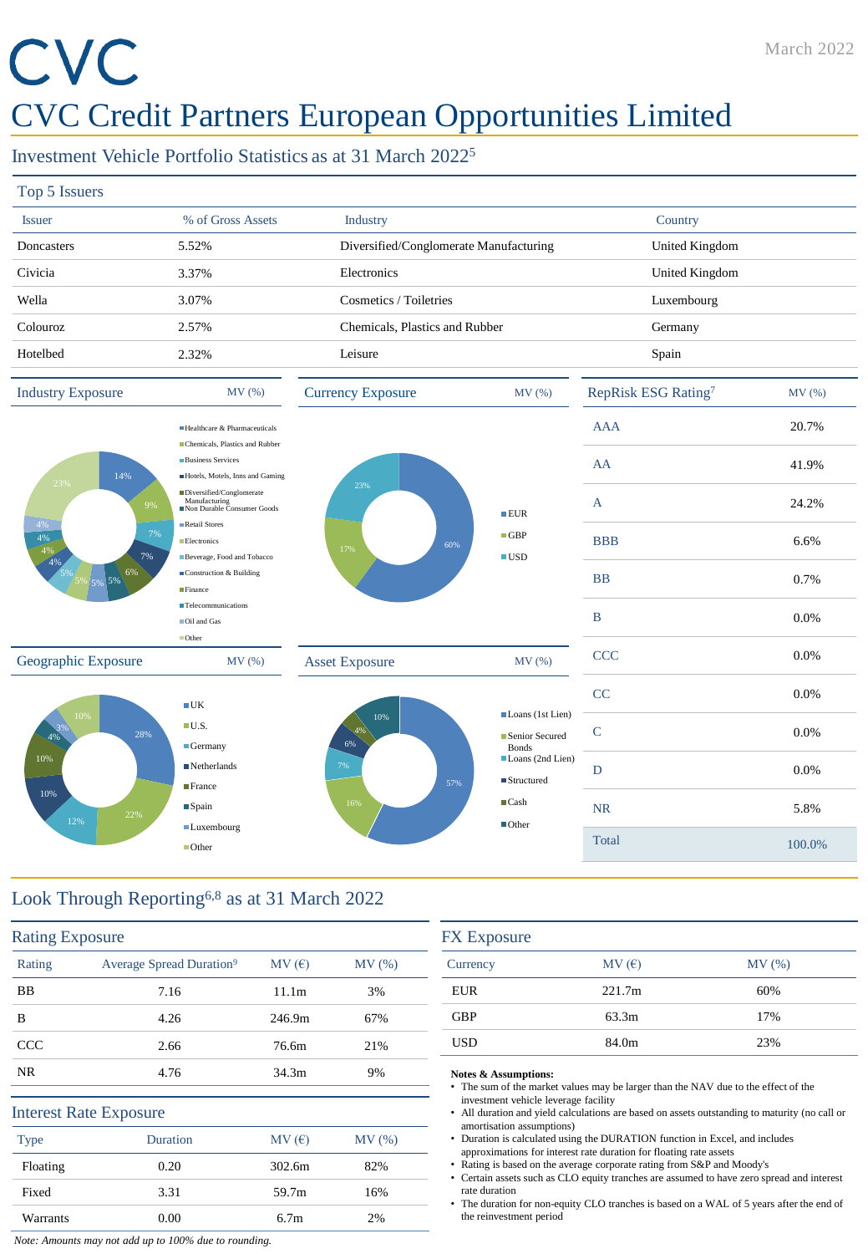# CVC

# CVC Credit Partners European Opportunities Limited

# Investment Vehicle Portfolio Statistics as at 31 March 2022<sup>5</sup>

| Top 5 Issuers                 |                                                                                               |                                        |                                                  |                                 |        |
|-------------------------------|-----------------------------------------------------------------------------------------------|----------------------------------------|--------------------------------------------------|---------------------------------|--------|
| <b>Issuer</b>                 | % of Gross Assets                                                                             | Industry                               |                                                  | Country                         |        |
| Doncasters                    | 5.52%                                                                                         | Diversified/Conglomerate Manufacturing |                                                  | United Kingdom                  |        |
| Civicia                       | 3.37%                                                                                         | Electronics                            |                                                  | United Kingdom                  |        |
|                               |                                                                                               |                                        |                                                  |                                 |        |
| Wella                         | 3.07%                                                                                         | Cosmetics / Toiletries                 |                                                  | Luxembourg                      |        |
| Colouroz                      | 2.57%                                                                                         | Chemicals, Plastics and Rubber         |                                                  | Germany                         |        |
| Hotelbed                      | 2.32%                                                                                         | Leisure                                |                                                  | Spain                           |        |
| <b>Industry Exposure</b>      | MV(%)                                                                                         | <b>Currency Exposure</b>               | MV(%)                                            | RepRisk ESG Rating <sup>7</sup> | MV(%)  |
|                               | Healthcare & Pharmaceuticals                                                                  |                                        |                                                  | <b>AAA</b>                      | 20.7%  |
| 14%                           | Chemicals, Plastics and Rubber<br><b>Business Services</b><br>Hotels, Motels, Inns and Gaming |                                        |                                                  | AA                              | 41.9%  |
| 23%<br>9%                     | Diversified/Conglomerate<br>Manufacturing<br>Non Durable Consumer Goods                       | 23%                                    | EUR                                              | $\mathbf{A}$                    | 24.2%  |
| 4%<br>7%<br>4%                | Retail Stores<br>Electronics                                                                  | 60%<br>17%                             | $\Box$ GBP                                       | <b>BBB</b>                      | 6.6%   |
| 4%<br>7%<br>4%<br>5% 5% 5% 6% | Beverage, Food and Tobacco<br>Construction & Building<br>Finance                              |                                        | $\blacksquare$ USD                               | <b>BB</b>                       | 0.7%   |
|                               | <b>Telecommunications</b><br>Oil and Gas                                                      |                                        |                                                  | $\, {\bf B}$                    | 0.0%   |
| Geographic Exposure           | Other<br>MV (%)                                                                               | <b>Asset Exposure</b>                  | MV(%)                                            | <b>CCC</b>                      | 0.0%   |
|                               | $\blacksquare$ UK                                                                             |                                        |                                                  | CC                              | 0.0%   |
| 10%<br>28%<br>.4%             | $\blacksquare$ U.S.                                                                           | 10%<br>4%<br>6%                        | Loans (1st Lien)<br>Senior Secured               | ${\bf C}$                       | 0.0%   |
| 10%                           | $\blacksquare$ Germany<br>$\blacksquare$ Netherlands                                          | 7%                                     | <b>Bonds</b><br>Loans (2nd Lien)                 | D                               | 0.0%   |
| 10%                           | $\blacksquare$ France<br>$\blacksquare$ Spain                                                 | 57%<br>16%                             | $\blacksquare$ Structured<br>$\blacksquare$ Cash | <b>NR</b>                       | 5.8%   |
| 22%<br>12%                    | ■Luxembourg<br>$\blacksquare$ Other                                                           |                                        | $\blacksquare$ Other                             | Total                           | 100.0% |
|                               |                                                                                               |                                        |                                                  |                                 |        |

# Look Through Reporting6,8 as at 31 March 2022

| <b>Rating Exposure</b> |                                      |                   |       |
|------------------------|--------------------------------------|-------------------|-------|
| Rating                 | Average Spread Duration <sup>9</sup> | MV(E)             | MV(%) |
| <b>BB</b>              | 7.16                                 | 11.1m             | 3%    |
| B                      | 4.26                                 | 246.9m            | 67%   |
| CCC                    | 2.66                                 | 76.6m             | 21%   |
| NR.                    | 4.76                                 | 34.3 <sub>m</sub> | 9%    |
|                        | <b>Interest Rate Exposure</b>        |                   |       |
| <b>Type</b>            | <b>Duration</b>                      | MV(E)             | MV(%) |
| Floating               | 0.20                                 | 302.6m            | 82%   |
| Fixed                  | 3.31                                 | 59.7m             | 16%   |
| Warrants               | 0.00                                 | 6.7 <sub>m</sub>  | 2%    |

| MV(E)  | MV(%) |
|--------|-------|
| 221.7m | 60%   |
| 63.3m  | 17%   |
| 84.0m  | 23%   |
|        |       |

#### **Notes & Assumptions:**

- The sum of the market values may be larger than the NAV due to the effect of the investment vehicle leverage facility
- All duration and yield calculations are based on assets outstanding to maturity (no call or amortisation assumptions)
- Duration is calculated using the DURATION function in Excel, and includes approximations for interest rate duration for floating rate assets
- Rating is based on the average corporate rating from S&P and Moody's
- Certain assets such as CLO equity tranches are assumed to have zero spread and interest rate duration
- The duration for non-equity CLO tranches is based on a WAL of 5 years after the end of the reinvestment period

*Note: Amounts may not add up to 100% due to rounding.*